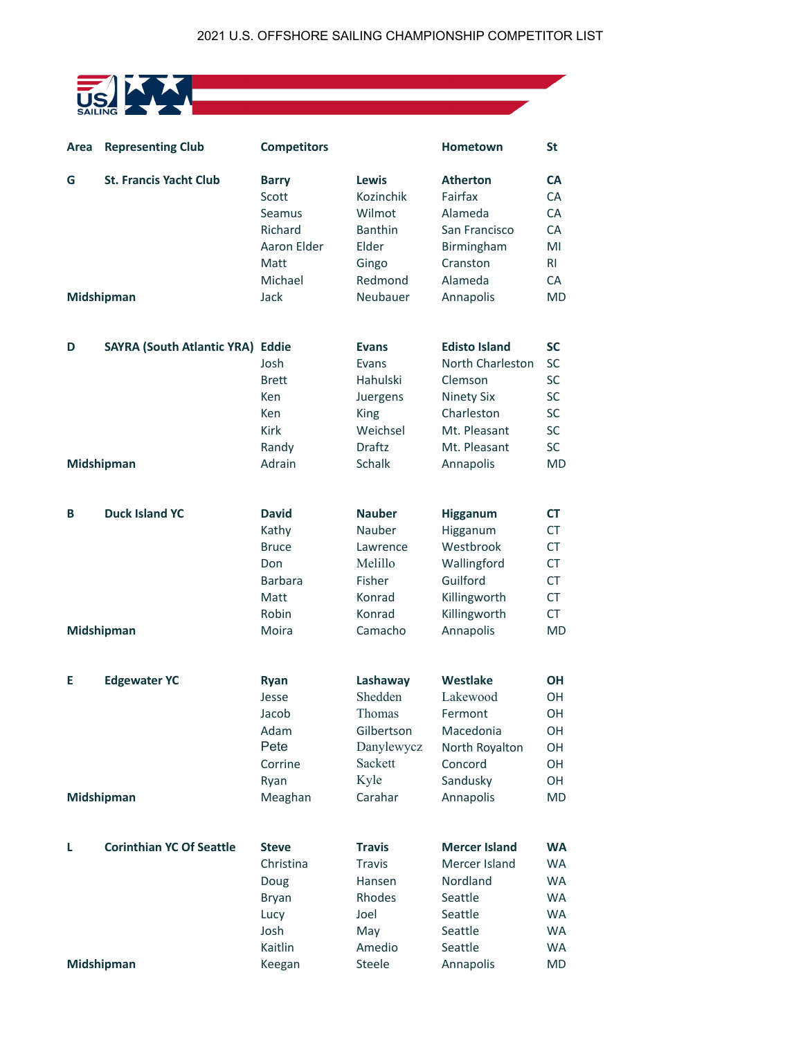## US ALLING

| Area       | <b>Representing Club</b>                | <b>Competitors</b>              |                                     | Hometown                              | <b>St</b>                           |
|------------|-----------------------------------------|---------------------------------|-------------------------------------|---------------------------------------|-------------------------------------|
| G          | <b>St. Francis Yacht Club</b>           | <b>Barry</b><br>Scott<br>Seamus | <b>Lewis</b><br>Kozinchik<br>Wilmot | <b>Atherton</b><br>Fairfax<br>Alameda | <b>CA</b><br><b>CA</b><br><b>CA</b> |
|            |                                         | Richard                         | <b>Banthin</b>                      | San Francisco                         | <b>CA</b>                           |
|            |                                         | Aaron Elder                     | Elder                               | Birmingham                            | MI                                  |
|            |                                         | Matt                            | Gingo                               | Cranston                              | R <sub>l</sub>                      |
|            |                                         | Michael                         | Redmond                             | Alameda                               | <b>CA</b>                           |
| Midshipman |                                         | Jack                            | Neubauer                            | Annapolis                             | <b>MD</b>                           |
| D          | <b>SAYRA (South Atlantic YRA) Eddie</b> |                                 | <b>Evans</b>                        | <b>Edisto Island</b>                  | <b>SC</b>                           |
|            |                                         | Josh                            | Evans                               | North Charleston                      | <b>SC</b>                           |
|            |                                         | <b>Brett</b>                    | Hahulski                            | Clemson                               | SC                                  |
|            |                                         | Ken                             | Juergens                            | <b>Ninety Six</b>                     | <b>SC</b>                           |
|            |                                         | Ken                             | King                                | Charleston                            | SC                                  |
|            |                                         | <b>Kirk</b>                     | Weichsel                            | Mt. Pleasant                          | <b>SC</b>                           |
|            |                                         | Randy                           | <b>Draftz</b>                       | Mt. Pleasant                          | SC                                  |
| Midshipman |                                         | Adrain                          | Schalk                              | Annapolis                             | <b>MD</b>                           |
| B          | <b>Duck Island YC</b>                   | <b>David</b>                    | <b>Nauber</b>                       | Higganum                              | <b>CT</b>                           |
|            |                                         | Kathy                           | Nauber                              | Higganum                              | <b>CT</b>                           |
|            |                                         | <b>Bruce</b>                    | Lawrence                            | Westbrook                             | <b>CT</b>                           |
|            |                                         | Don                             | Melillo                             | Wallingford                           | <b>CT</b>                           |
|            |                                         | <b>Barbara</b>                  | Fisher                              | Guilford                              | <b>CT</b>                           |
|            |                                         | Matt                            | Konrad                              | Killingworth                          | <b>CT</b>                           |
|            |                                         | Robin                           | Konrad                              | Killingworth                          | <b>CT</b>                           |
| Midshipman |                                         | Moira                           | Camacho                             | Annapolis                             | <b>MD</b>                           |
| E          | <b>Edgewater YC</b>                     | Ryan                            | Lashaway                            | Westlake                              | <b>OH</b>                           |
|            |                                         | Jesse                           | Shedden                             | Lakewood                              | OH                                  |
|            |                                         | Jacob                           | Thomas                              | Fermont                               | OH                                  |
|            |                                         | Adam                            | Gilbertson                          | Macedonia                             | OH                                  |
|            |                                         | Pete                            | Danylewycz                          | North Royalton                        | OH                                  |
|            |                                         | Corrine                         | Sackett                             | Concord                               | OH                                  |
|            |                                         | Ryan                            | Kyle                                | Sandusky                              | OH                                  |
| Midshipman |                                         | Meaghan                         | Carahar                             | Annapolis                             | <b>MD</b>                           |
| L          | <b>Corinthian YC Of Seattle</b>         | <b>Steve</b>                    | <b>Travis</b>                       | <b>Mercer Island</b>                  | <b>WA</b>                           |
|            |                                         | Christina                       | <b>Travis</b>                       | Mercer Island                         | <b>WA</b>                           |
|            |                                         | Doug                            | Hansen                              | Nordland                              | <b>WA</b>                           |
|            |                                         | <b>Bryan</b>                    | Rhodes                              | Seattle                               | <b>WA</b>                           |
|            |                                         | Lucy                            | Joel                                | Seattle                               | <b>WA</b>                           |
|            |                                         | Josh                            | May                                 | Seattle                               | <b>WA</b>                           |
|            |                                         | Kaitlin                         | Amedio                              | Seattle                               | <b>WA</b>                           |
|            | Midshipman                              | Keegan                          | Steele                              | Annapolis                             | <b>MD</b>                           |